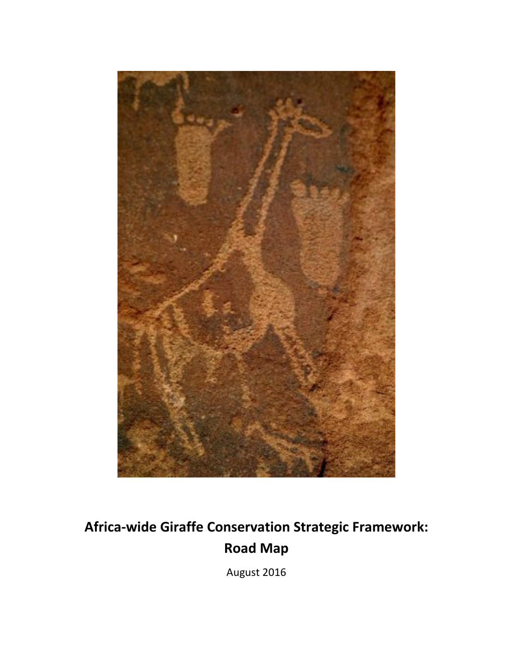

# Africa-wide Giraffe Conservation Strategic Framework: **Road Map**

August 2016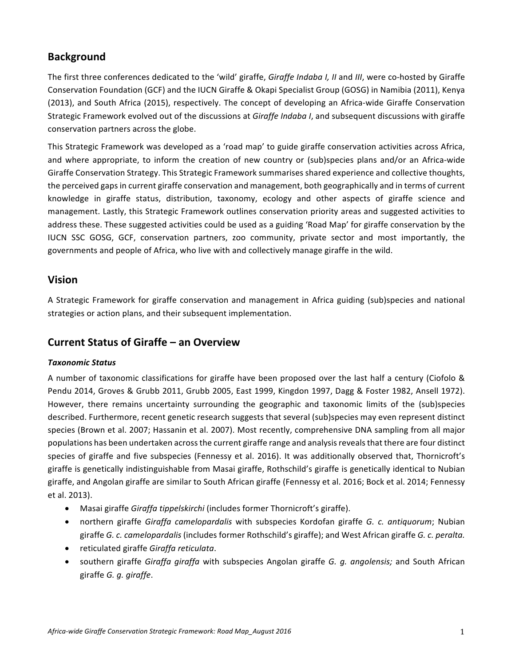# **Background**

The first three conferences dedicated to the 'wild' giraffe, *Giraffe Indaba I, II* and *III*, were co-hosted by Giraffe Conservation Foundation (GCF) and the IUCN Giraffe & Okapi Specialist Group (GOSG) in Namibia (2011), Kenya (2013), and South Africa (2015), respectively. The concept of developing an Africa-wide Giraffe Conservation Strategic Framework evolved out of the discussions at *Giraffe Indaba I*, and subsequent discussions with giraffe conservation partners across the globe.

This Strategic Framework was developed as a 'road map' to guide giraffe conservation activities across Africa, and where appropriate, to inform the creation of new country or (sub)species plans and/or an Africa-wide Giraffe Conservation Strategy. This Strategic Framework summarises shared experience and collective thoughts, the perceived gaps in current giraffe conservation and management, both geographically and in terms of current knowledge in giraffe status, distribution, taxonomy, ecology and other aspects of giraffe science and management. Lastly, this Strategic Framework outlines conservation priority areas and suggested activities to address these. These suggested activities could be used as a guiding 'Road Map' for giraffe conservation by the IUCN SSC GOSG, GCF, conservation partners, zoo community, private sector and most importantly, the governments and people of Africa, who live with and collectively manage giraffe in the wild.

# **Vision**

A Strategic Framework for giraffe conservation and management in Africa guiding (sub)species and national strategies or action plans, and their subsequent implementation.

# **Current Status of Giraffe – an Overview**

## *Taxonomic Status*

A number of taxonomic classifications for giraffe have been proposed over the last half a century (Ciofolo & Pendu 2014, Groves & Grubb 2011, Grubb 2005, East 1999, Kingdon 1997, Dagg & Foster 1982, Ansell 1972). However, there remains uncertainty surrounding the geographic and taxonomic limits of the (sub)species described. Furthermore, recent genetic research suggests that several (sub)species may even represent distinct species (Brown et al. 2007; Hassanin et al. 2007). Most recently, comprehensive DNA sampling from all major populations has been undertaken across the current giraffe range and analysis reveals that there are four distinct species of giraffe and five subspecies (Fennessy et al. 2016). It was additionally observed that, Thornicroft's giraffe is genetically indistinguishable from Masai giraffe, Rothschild's giraffe is genetically identical to Nubian giraffe, and Angolan giraffe are similar to South African giraffe (Fennessy et al. 2016; Bock et al. 2014; Fennessy et al. 2013).

- Masai giraffe Giraffa tippelskirchi (includes former Thornicroft's giraffe).
- northern giraffe *Giraffa camelopardalis* with subspecies Kordofan giraffe *G. c. antiquorum*; Nubian giraffe *G. c. camelopardalis* (includes former Rothschild's giraffe); and West African giraffe *G. c. peralta.*
- reticulated giraffe *Giraffa reticulata*.
- southern giraffe *Giraffa giraffa* with subspecies Angolan giraffe *G. g. angolensis;* and South African giraffe *G. g. giraffe*.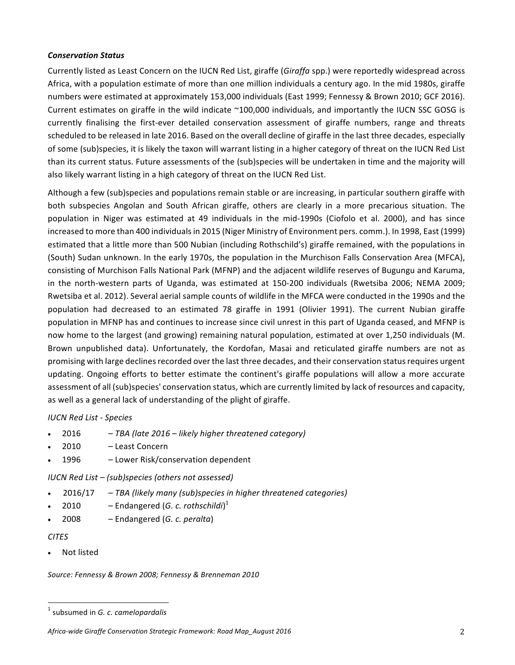#### *Conservation Status*

Currently listed as Least Concern on the IUCN Red List, giraffe (*Giraffa* spp.) were reportedly widespread across Africa, with a population estimate of more than one million individuals a century ago. In the mid 1980s, giraffe numbers were estimated at approximately 153,000 individuals (East 1999; Fennessy & Brown 2010; GCF 2016). Current estimates on giraffe in the wild indicate ~100,000 individuals, and importantly the IUCN SSC GOSG is currently finalising the first-ever detailed conservation assessment of giraffe numbers, range and threats scheduled to be released in late 2016. Based on the overall decline of giraffe in the last three decades, especially of some (sub)species, it is likely the taxon will warrant listing in a higher category of threat on the IUCN Red List than its current status. Future assessments of the (sub)species will be undertaken in time and the majority will also likely warrant listing in a high category of threat on the IUCN Red List.

Although a few (sub)species and populations remain stable or are increasing, in particular southern giraffe with both subspecies Angolan and South African giraffe, others are clearly in a more precarious situation. The population in Niger was estimated at 49 individuals in the mid-1990s (Ciofolo et al. 2000), and has since increased to more than 400 individuals in 2015 (Niger Ministry of Environment pers. comm.). In 1998, East (1999) estimated that a little more than 500 Nubian (including Rothschild's) giraffe remained, with the populations in (South) Sudan unknown. In the early 1970s, the population in the Murchison Falls Conservation Area (MFCA), consisting of Murchison Falls National Park (MFNP) and the adjacent wildlife reserves of Bugungu and Karuma, in the north-western parts of Uganda, was estimated at 150-200 individuals (Rwetsiba 2006; NEMA 2009; Rwetsiba et al. 2012). Several aerial sample counts of wildlife in the MFCA were conducted in the 1990s and the population had decreased to an estimated 78 giraffe in 1991 (Olivier 1991). The current Nubian giraffe population in MFNP has and continues to increase since civil unrest in this part of Uganda ceased, and MFNP is now home to the largest (and growing) remaining natural population, estimated at over 1,250 individuals (M. Brown unpublished data). Unfortunately, the Kordofan, Masai and reticulated giraffe numbers are not as promising with large declines recorded over the last three decades, and their conservation status requires urgent updating. Ongoing efforts to better estimate the continent's giraffe populations will allow a more accurate assessment of all (sub)species' conservation status, which are currently limited by lack of resources and capacity, as well as a general lack of understanding of the plight of giraffe.

## *IUCN Red List - Species*

- 2016 *TBA (late 2016 – likely higher threatened category)*
- 2010 Least Concern
- 1996 Lower Risk/conservation dependent

*IUCN Red List – (sub)species (others not assessed)*

- 2016/17 *TBA (likely many (sub)species in higher threatened categories)*
- 2010  $-$  Endangered (*G. c. rothschildi*)<sup>1</sup>
- 2008 Endangered (*G. c. peralta*)

## *CITES*

Not listed

Source: Fennessy & Brown 2008; Fennessy & Brenneman 2010

<sup>&</sup>lt;sup>1</sup> subsumed in *G. c. camelopardalis* 

Africa-wide Giraffe Conservation Strategic Framework: Road Map\_August 2016 **2016** 2016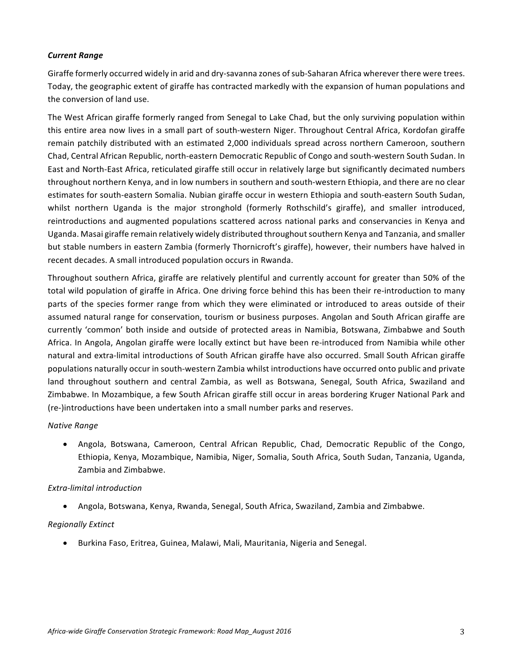#### *Current Range*

Giraffe formerly occurred widely in arid and dry-savanna zones of sub-Saharan Africa wherever there were trees. Today, the geographic extent of giraffe has contracted markedly with the expansion of human populations and the conversion of land use.

The West African giraffe formerly ranged from Senegal to Lake Chad, but the only surviving population within this entire area now lives in a small part of south-western Niger. Throughout Central Africa, Kordofan giraffe remain patchily distributed with an estimated 2,000 individuals spread across northern Cameroon, southern Chad, Central African Republic, north-eastern Democratic Republic of Congo and south-western South Sudan. In East and North-East Africa, reticulated giraffe still occur in relatively large but significantly decimated numbers throughout northern Kenya, and in low numbers in southern and south-western Ethiopia, and there are no clear estimates for south-eastern Somalia. Nubian giraffe occur in western Ethiopia and south-eastern South Sudan, whilst northern Uganda is the major stronghold (formerly Rothschild's giraffe), and smaller introduced, reintroductions and augmented populations scattered across national parks and conservancies in Kenya and Uganda. Masai giraffe remain relatively widely distributed throughout southern Kenya and Tanzania, and smaller but stable numbers in eastern Zambia (formerly Thornicroft's giraffe), however, their numbers have halved in recent decades. A small introduced population occurs in Rwanda.

Throughout southern Africa, giraffe are relatively plentiful and currently account for greater than 50% of the total wild population of giraffe in Africa. One driving force behind this has been their re-introduction to many parts of the species former range from which they were eliminated or introduced to areas outside of their assumed natural range for conservation, tourism or business purposes. Angolan and South African giraffe are currently 'common' both inside and outside of protected areas in Namibia, Botswana, Zimbabwe and South Africa. In Angola, Angolan giraffe were locally extinct but have been re-introduced from Namibia while other natural and extra-limital introductions of South African giraffe have also occurred. Small South African giraffe populations naturally occur in south-western Zambia whilst introductions have occurred onto public and private land throughout southern and central Zambia, as well as Botswana, Senegal, South Africa, Swaziland and Zimbabwe. In Mozambique, a few South African giraffe still occur in areas bordering Kruger National Park and (re-)introductions have been undertaken into a small number parks and reserves.

#### *Native Range*

• Angola, Botswana, Cameroon, Central African Republic, Chad, Democratic Republic of the Congo, Ethiopia, Kenya, Mozambique, Namibia, Niger, Somalia, South Africa, South Sudan, Tanzania, Uganda, Zambia and Zimbabwe.

#### *Extra-limital introduction*

• Angola, Botswana, Kenya, Rwanda, Senegal, South Africa, Swaziland, Zambia and Zimbabwe.

#### *Regionally Extinct*

• Burkina Faso, Eritrea, Guinea, Malawi, Mali, Mauritania, Nigeria and Senegal.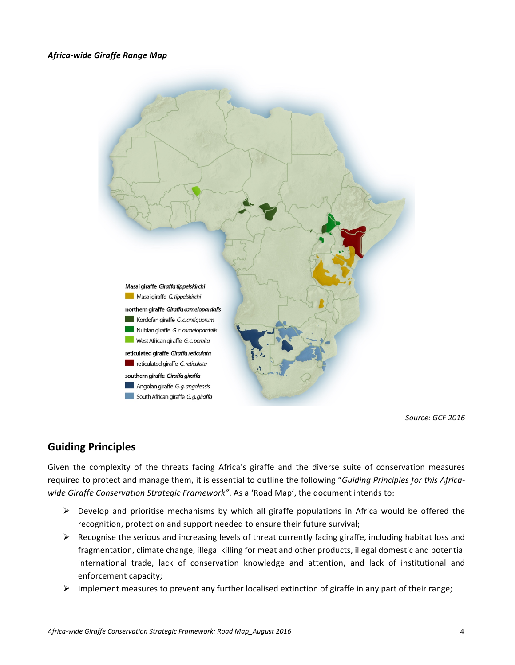#### *Africa-wide Giraffe Range Map*



*Source: GCF 2016*

# **Guiding Principles**

Given the complexity of the threats facing Africa's giraffe and the diverse suite of conservation measures required to protect and manage them, it is essential to outline the following "Guiding Principles for this Africawide Giraffe Conservation Strategic Framework". As a 'Road Map', the document intends to:

- $\triangleright$  Develop and prioritise mechanisms by which all giraffe populations in Africa would be offered the recognition, protection and support needed to ensure their future survival;
- $\triangleright$  Recognise the serious and increasing levels of threat currently facing giraffe, including habitat loss and fragmentation, climate change, illegal killing for meat and other products, illegal domestic and potential international trade, lack of conservation knowledge and attention, and lack of institutional and enforcement capacity;
- $\triangleright$  Implement measures to prevent any further localised extinction of giraffe in any part of their range;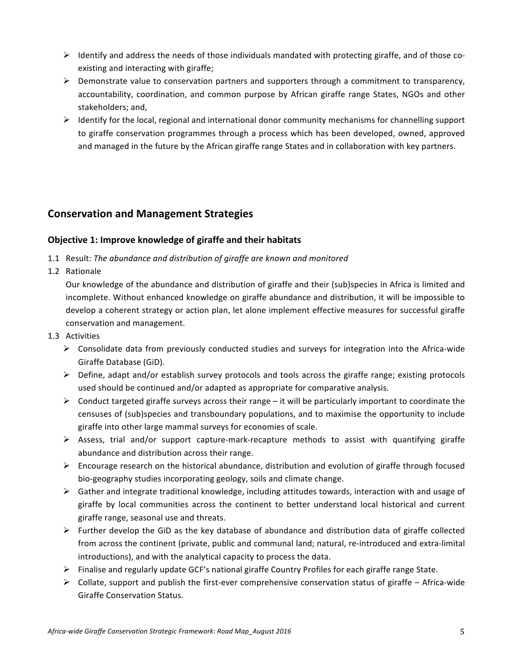- $\triangleright$  Identify and address the needs of those individuals mandated with protecting giraffe, and of those coexisting and interacting with giraffe;
- $\triangleright$  Demonstrate value to conservation partners and supporters through a commitment to transparency, accountability, coordination, and common purpose by African giraffe range States, NGOs and other stakeholders; and,
- $\triangleright$  Identify for the local, regional and international donor community mechanisms for channelling support to giraffe conservation programmes through a process which has been developed, owned, approved and managed in the future by the African giraffe range States and in collaboration with key partners.

# **Conservation and Management Strategies**

## **Objective 1: Improve knowledge of giraffe and their habitats**

- 1.1 Result: The abundance and distribution of giraffe are known and monitored
- 1.2 Rationale

Our knowledge of the abundance and distribution of giraffe and their (sub)species in Africa is limited and incomplete. Without enhanced knowledge on giraffe abundance and distribution, it will be impossible to develop a coherent strategy or action plan, let alone implement effective measures for successful giraffe conservation and management.

- 1.3 Activities
	- $\triangleright$  Consolidate data from previously conducted studies and surveys for integration into the Africa-wide Giraffe Database (GiD).
	- $\triangleright$  Define, adapt and/or establish survey protocols and tools across the giraffe range; existing protocols used should be continued and/or adapted as appropriate for comparative analysis.
	- $\triangleright$  Conduct targeted giraffe surveys across their range it will be particularly important to coordinate the censuses of (sub)species and transboundary populations, and to maximise the opportunity to include giraffe into other large mammal surveys for economies of scale.
	- $\triangleright$  Assess, trial and/or support capture-mark-recapture methods to assist with quantifying giraffe abundance and distribution across their range.
	- $\triangleright$  Encourage research on the historical abundance, distribution and evolution of giraffe through focused bio-geography studies incorporating geology, soils and climate change.
	- $\triangleright$  Gather and integrate traditional knowledge, including attitudes towards, interaction with and usage of giraffe by local communities across the continent to better understand local historical and current giraffe range, seasonal use and threats.
	- $\triangleright$  Further develop the GiD as the key database of abundance and distribution data of giraffe collected from across the continent (private, public and communal land; natural, re-introduced and extra-limital introductions), and with the analytical capacity to process the data.
	- $\triangleright$  Finalise and regularly update GCF's national giraffe Country Profiles for each giraffe range State.
	- $\triangleright$  Collate, support and publish the first-ever comprehensive conservation status of giraffe Africa-wide Giraffe Conservation Status.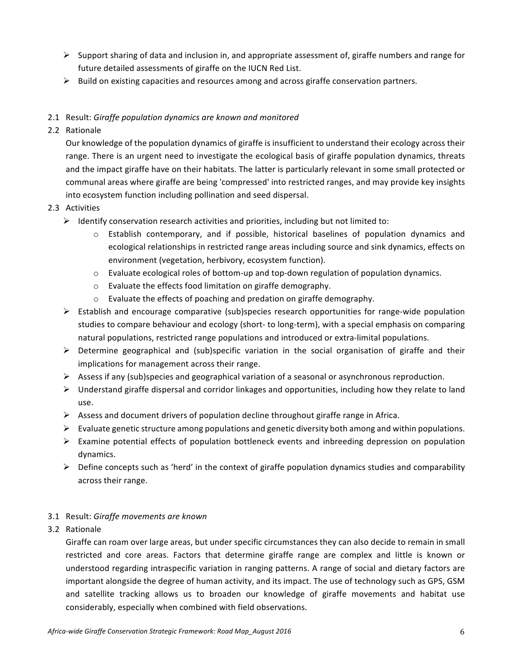- $\triangleright$  Support sharing of data and inclusion in, and appropriate assessment of, giraffe numbers and range for future detailed assessments of giraffe on the IUCN Red List.
- $\triangleright$  Build on existing capacities and resources among and across giraffe conservation partners.

## 2.1 Result: *Giraffe population dynamics are known and monitored*

2.2 Rationale

Our knowledge of the population dynamics of giraffe is insufficient to understand their ecology across their range. There is an urgent need to investigate the ecological basis of giraffe population dynamics, threats and the impact giraffe have on their habitats. The latter is particularly relevant in some small protected or communal areas where giraffe are being 'compressed' into restricted ranges, and may provide key insights into ecosystem function including pollination and seed dispersal.

## 2.3 Activities

- $\triangleright$  Identify conservation research activities and priorities, including but not limited to:
	- $\circ$  Establish contemporary, and if possible, historical baselines of population dynamics and ecological relationships in restricted range areas including source and sink dynamics, effects on environment (vegetation, herbivory, ecosystem function).
	- $\circ$  Evaluate ecological roles of bottom-up and top-down regulation of population dynamics.
	- $\circ$  Evaluate the effects food limitation on giraffe demography.
	- $\circ$  Evaluate the effects of poaching and predation on giraffe demography.
- $\triangleright$  Establish and encourage comparative (sub)species research opportunities for range-wide population studies to compare behaviour and ecology (short- to long-term), with a special emphasis on comparing natural populations, restricted range populations and introduced or extra-limital populations.
- $\triangleright$  Determine geographical and (sub)specific variation in the social organisation of giraffe and their implications for management across their range.
- $\triangleright$  Assess if any (sub)species and geographical variation of a seasonal or asynchronous reproduction.
- $\triangleright$  Understand giraffe dispersal and corridor linkages and opportunities, including how they relate to land use.
- $\triangleright$  Assess and document drivers of population decline throughout giraffe range in Africa.
- $\triangleright$  Evaluate genetic structure among populations and genetic diversity both among and within populations.
- $\triangleright$  Examine potential effects of population bottleneck events and inbreeding depression on population dynamics.
- $\triangleright$  Define concepts such as 'herd' in the context of giraffe population dynamics studies and comparability across their range.

## 3.1 Result: Giraffe movements are known

3.2 Rationale

Giraffe can roam over large areas, but under specific circumstances they can also decide to remain in small restricted and core areas. Factors that determine giraffe range are complex and little is known or understood regarding intraspecific variation in ranging patterns. A range of social and dietary factors are important alongside the degree of human activity, and its impact. The use of technology such as GPS, GSM and satellite tracking allows us to broaden our knowledge of giraffe movements and habitat use considerably, especially when combined with field observations.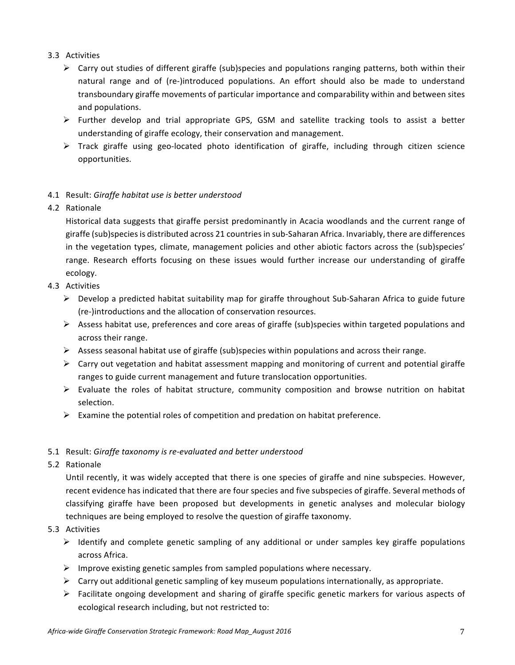## 3.3 Activities

- $\triangleright$  Carry out studies of different giraffe (sub)species and populations ranging patterns, both within their natural range and of (re-)introduced populations. An effort should also be made to understand transboundary giraffe movements of particular importance and comparability within and between sites and populations.
- $\triangleright$  Further develop and trial appropriate GPS, GSM and satellite tracking tools to assist a better understanding of giraffe ecology, their conservation and management.
- $\triangleright$  Track giraffe using geo-located photo identification of giraffe, including through citizen science opportunities.

## 4.1 Result: Giraffe habitat use is better understood

4.2 Rationale

Historical data suggests that giraffe persist predominantly in Acacia woodlands and the current range of giraffe (sub)species is distributed across 21 countries in sub-Saharan Africa. Invariably, there are differences in the vegetation types, climate, management policies and other abiotic factors across the (sub)species' range. Research efforts focusing on these issues would further increase our understanding of giraffe ecology. 

- 4.3 Activities
	- $\triangleright$  Develop a predicted habitat suitability map for giraffe throughout Sub-Saharan Africa to guide future (re-)introductions and the allocation of conservation resources.
	- $\triangleright$  Assess habitat use, preferences and core areas of giraffe (sub)species within targeted populations and across their range.
	- $\triangleright$  Assess seasonal habitat use of giraffe (sub)species within populations and across their range.
	- $\triangleright$  Carry out vegetation and habitat assessment mapping and monitoring of current and potential giraffe ranges to guide current management and future translocation opportunities.
	- $\triangleright$  Evaluate the roles of habitat structure, community composition and browse nutrition on habitat selection.
	- $\triangleright$  Examine the potential roles of competition and predation on habitat preference.

## 5.1 Result: Giraffe taxonomy is re-evaluated and better understood

5.2 Rationale

Until recently, it was widely accepted that there is one species of giraffe and nine subspecies. However, recent evidence has indicated that there are four species and five subspecies of giraffe. Several methods of classifying giraffe have been proposed but developments in genetic analyses and molecular biology techniques are being employed to resolve the question of giraffe taxonomy.

- 5.3 Activities
	- $\triangleright$  Identify and complete genetic sampling of any additional or under samples key giraffe populations across Africa.
	- $\triangleright$  Improve existing genetic samples from sampled populations where necessary.
	- $\triangleright$  Carry out additional genetic sampling of key museum populations internationally, as appropriate.
	- $\triangleright$  Facilitate ongoing development and sharing of giraffe specific genetic markers for various aspects of ecological research including, but not restricted to: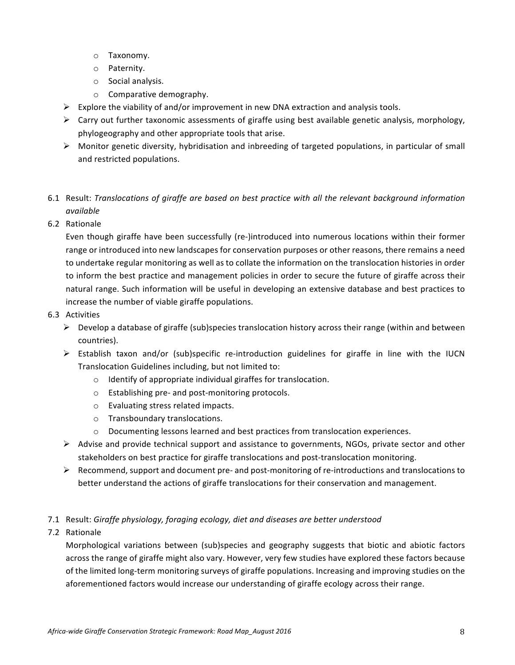- o Taxonomy.
- o Paternity.
- $\circ$  Social analysis.
- $\circ$  Comparative demography.
- Explore the viability of and/or improvement in new DNA extraction and analysis tools.
- $\triangleright$  Carry out further taxonomic assessments of giraffe using best available genetic analysis, morphology, phylogeography and other appropriate tools that arise.
- $\triangleright$  Monitor genetic diversity, hybridisation and inbreeding of targeted populations, in particular of small and restricted populations.
- 6.1 Result: Translocations of giraffe are based on best practice with all the relevant background information *available*
- 6.2 Rationale

Even though giraffe have been successfully (re-)introduced into numerous locations within their former range or introduced into new landscapes for conservation purposes or other reasons, there remains a need to undertake regular monitoring as well as to collate the information on the translocation histories in order to inform the best practice and management policies in order to secure the future of giraffe across their natural range. Such information will be useful in developing an extensive database and best practices to increase the number of viable giraffe populations.

- 6.3 Activities
	- $\triangleright$  Develop a database of giraffe (sub)species translocation history across their range (within and between countries).
	- $\triangleright$  Establish taxon and/or (sub)specific re-introduction guidelines for giraffe in line with the IUCN Translocation Guidelines including, but not limited to:
		- $\circ$  Identify of appropriate individual giraffes for translocation.
		- o Establishing pre- and post-monitoring protocols.
		- $\circ$  Evaluating stress related impacts.
		- $\circ$  Transboundary translocations.
		- $\circ$  Documenting lessons learned and best practices from translocation experiences.
	- $\triangleright$  Advise and provide technical support and assistance to governments, NGOs, private sector and other stakeholders on best practice for giraffe translocations and post-translocation monitoring.
	- $\triangleright$  Recommend, support and document pre- and post-monitoring of re-introductions and translocations to better understand the actions of giraffe translocations for their conservation and management.
- 7.1 Result: Giraffe physiology, foraging ecology, diet and diseases are better understood
- 7.2 Rationale

Morphological variations between (sub)species and geography suggests that biotic and abiotic factors across the range of giraffe might also vary. However, very few studies have explored these factors because of the limited long-term monitoring surveys of giraffe populations. Increasing and improving studies on the aforementioned factors would increase our understanding of giraffe ecology across their range.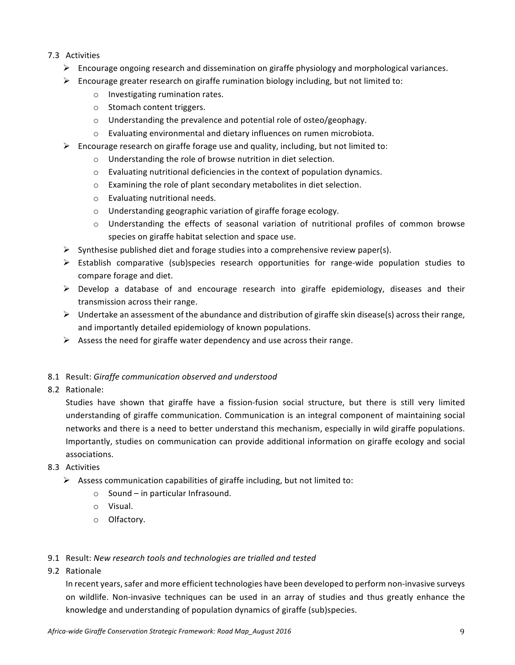## 7.3 Activities

- $\triangleright$  Encourage ongoing research and dissemination on giraffe physiology and morphological variances.
- $\triangleright$  Encourage greater research on giraffe rumination biology including, but not limited to:
	- $\circ$  Investigating rumination rates.
	- $\circ$  Stomach content triggers.
	- $\circ$  Understanding the prevalence and potential role of osteo/geophagy.
	- o Evaluating environmental and dietary influences on rumen microbiota.
- $\triangleright$  Encourage research on giraffe forage use and quality, including, but not limited to:
	- $\circ$  Understanding the role of browse nutrition in diet selection.
	- $\circ$  Evaluating nutritional deficiencies in the context of population dynamics.
	- $\circ$  Examining the role of plant secondary metabolites in diet selection.
	- $\circ$  Evaluating nutritional needs.
	- $\circ$  Understanding geographic variation of giraffe forage ecology.
	- $\circ$  Understanding the effects of seasonal variation of nutritional profiles of common browse species on giraffe habitat selection and space use.
- $\triangleright$  Synthesise published diet and forage studies into a comprehensive review paper(s).
- $\triangleright$  Establish comparative (sub)species research opportunities for range-wide population studies to compare forage and diet.
- $\triangleright$  Develop a database of and encourage research into giraffe epidemiology, diseases and their transmission across their range.
- $\triangleright$  Undertake an assessment of the abundance and distribution of giraffe skin disease(s) across their range, and importantly detailed epidemiology of known populations.
- $\triangleright$  Assess the need for giraffe water dependency and use across their range.

## 8.1 Result: Giraffe communication observed and understood

8.2 Rationale:

Studies have shown that giraffe have a fission-fusion social structure, but there is still very limited understanding of giraffe communication. Communication is an integral component of maintaining social networks and there is a need to better understand this mechanism, especially in wild giraffe populations. Importantly, studies on communication can provide additional information on giraffe ecology and social associations. 

- 8.3 Activities
	- $\triangleright$  Assess communication capabilities of giraffe including, but not limited to:
		- $\circ$  Sound in particular Infrasound.
		- o Visual.
		- o Olfactory.

## 9.1 Result: New research tools and technologies are trialled and tested

9.2 Rationale

In recent years, safer and more efficient technologies have been developed to perform non-invasive surveys on wildlife. Non-invasive techniques can be used in an array of studies and thus greatly enhance the knowledge and understanding of population dynamics of giraffe (sub)species.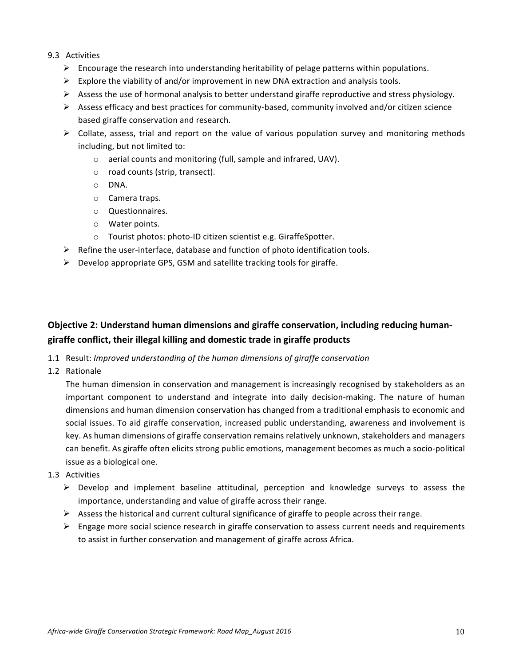## 9.3 Activities

- $\triangleright$  Encourage the research into understanding heritability of pelage patterns within populations.
- $\triangleright$  Explore the viability of and/or improvement in new DNA extraction and analysis tools.
- $\triangleright$  Assess the use of hormonal analysis to better understand giraffe reproductive and stress physiology.
- $\triangleright$  Assess efficacy and best practices for community-based, community involved and/or citizen science based giraffe conservation and research.
- $\triangleright$  Collate, assess, trial and report on the value of various population survey and monitoring methods including, but not limited to:
	- $\circ$  aerial counts and monitoring (full, sample and infrared, UAV).
	- $\circ$  road counts (strip, transect).
	- o DNA.
	- o Camera traps.
	- o Questionnaires.
	- $\circ$  Water points.
	- $\circ$  Tourist photos: photo-ID citizen scientist e.g. GiraffeSpotter.
- $\triangleright$  Refine the user-interface, database and function of photo identification tools.
- $\triangleright$  Develop appropriate GPS, GSM and satellite tracking tools for giraffe.

# **Objective 2: Understand human dimensions and giraffe conservation, including reducing humangiraffe conflict, their illegal killing and domestic trade in giraffe products**

- 1.1 Result: *Improved understanding of the human dimensions of giraffe conservation*
- 1.2 Rationale

The human dimension in conservation and management is increasingly recognised by stakeholders as an important component to understand and integrate into daily decision-making. The nature of human dimensions and human dimension conservation has changed from a traditional emphasis to economic and social issues. To aid giraffe conservation, increased public understanding, awareness and involvement is key. As human dimensions of giraffe conservation remains relatively unknown, stakeholders and managers can benefit. As giraffe often elicits strong public emotions, management becomes as much a socio-political issue as a biological one.

- 1.3 Activities
	- $\triangleright$  Develop and implement baseline attitudinal, perception and knowledge surveys to assess the importance, understanding and value of giraffe across their range.
	- $\triangleright$  Assess the historical and current cultural significance of giraffe to people across their range.
	- $\triangleright$  Engage more social science research in giraffe conservation to assess current needs and requirements to assist in further conservation and management of giraffe across Africa.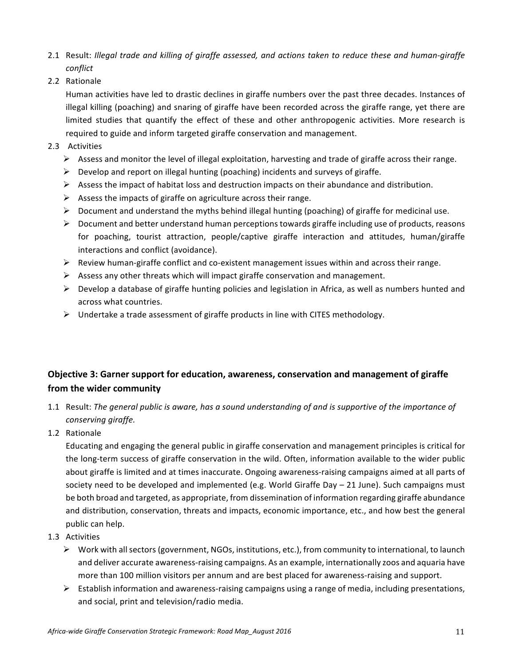- 2.1 Result: *Illegal trade and killing of giraffe assessed, and actions taken to reduce these and human-giraffe conflict*
- 2.2 Rationale

Human activities have led to drastic declines in giraffe numbers over the past three decades. Instances of illegal killing (poaching) and snaring of giraffe have been recorded across the giraffe range, yet there are limited studies that quantify the effect of these and other anthropogenic activities. More research is required to guide and inform targeted giraffe conservation and management.

- 2.3 Activities
	- $\triangleright$  Assess and monitor the level of illegal exploitation, harvesting and trade of giraffe across their range.
	- $\triangleright$  Develop and report on illegal hunting (poaching) incidents and surveys of giraffe.
	- $\triangleright$  Assess the impact of habitat loss and destruction impacts on their abundance and distribution.
	- $\triangleright$  Assess the impacts of giraffe on agriculture across their range.
	- $\triangleright$  Document and understand the myths behind illegal hunting (poaching) of giraffe for medicinal use.
	- $\triangleright$  Document and better understand human perceptions towards giraffe including use of products, reasons for poaching, tourist attraction, people/captive giraffe interaction and attitudes, human/giraffe interactions and conflict (avoidance).
	- $\triangleright$  Review human-giraffe conflict and co-existent management issues within and across their range.
	- $\triangleright$  Assess any other threats which will impact giraffe conservation and management.
	- $\triangleright$  Develop a database of giraffe hunting policies and legislation in Africa, as well as numbers hunted and across what countries.
	- $\triangleright$  Undertake a trade assessment of giraffe products in line with CITES methodology.

# **Objective 3: Garner support for education, awareness, conservation and management of giraffe from the wider community**

- 1.1 Result: The general public is aware, has a sound understanding of and is supportive of the importance of *conserving giraffe.*
- 1.2 Rationale

Educating and engaging the general public in giraffe conservation and management principles is critical for the long-term success of giraffe conservation in the wild. Often, information available to the wider public about giraffe is limited and at times inaccurate. Ongoing awareness-raising campaigns aimed at all parts of society need to be developed and implemented (e.g. World Giraffe Day  $-$  21 June). Such campaigns must be both broad and targeted, as appropriate, from dissemination of information regarding giraffe abundance and distribution, conservation, threats and impacts, economic importance, etc., and how best the general public can help.

- 1.3 Activities
	- $\triangleright$  Work with all sectors (government, NGOs, institutions, etc.), from community to international, to launch and deliver accurate awareness-raising campaigns. As an example, internationally zoos and aquaria have more than 100 million visitors per annum and are best placed for awareness-raising and support.
	- $\triangleright$  Establish information and awareness-raising campaigns using a range of media, including presentations, and social, print and television/radio media.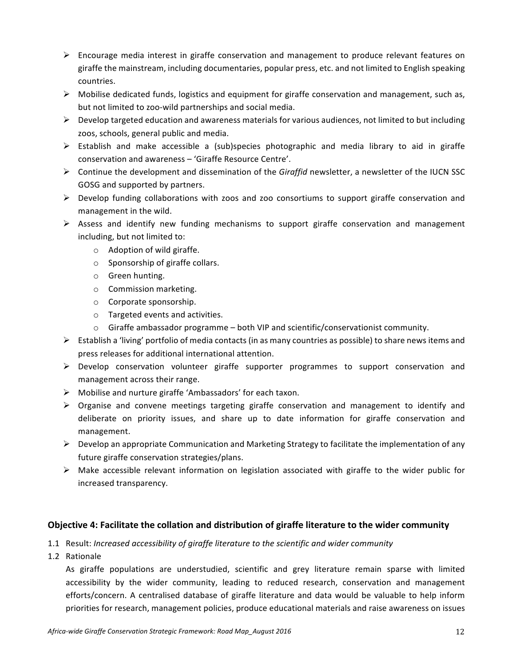- $\triangleright$  Encourage media interest in giraffe conservation and management to produce relevant features on giraffe the mainstream, including documentaries, popular press, etc. and not limited to English speaking countries.
- $\triangleright$  Mobilise dedicated funds, logistics and equipment for giraffe conservation and management, such as, but not limited to zoo-wild partnerships and social media.
- $\triangleright$  Develop targeted education and awareness materials for various audiences, not limited to but including zoos, schools, general public and media.
- $\triangleright$  Establish and make accessible a (sub)species photographic and media library to aid in giraffe conservation and awareness – 'Giraffe Resource Centre'.
- $\triangleright$  Continue the development and dissemination of the *Giraffid* newsletter, a newsletter of the IUCN SSC GOSG and supported by partners.
- $\triangleright$  Develop funding collaborations with zoos and zoo consortiums to support giraffe conservation and management in the wild.
- $\triangleright$  Assess and identify new funding mechanisms to support giraffe conservation and management including, but not limited to:
	- $\circ$  Adoption of wild giraffe.
	- $\circ$  Sponsorship of giraffe collars.
	- o Green hunting.
	- $\circ$  Commission marketing.
	- $\circ$  Corporate sponsorship.
	- $\circ$  Targeted events and activities.
	- $\circ$  Giraffe ambassador programme both VIP and scientific/conservationist community.
- $\triangleright$  Establish a 'living' portfolio of media contacts (in as many countries as possible) to share news items and press releases for additional international attention.
- $\triangleright$  Develop conservation volunteer giraffe supporter programmes to support conservation and management across their range.
- $\triangleright$  Mobilise and nurture giraffe 'Ambassadors' for each taxon.
- $\triangleright$  Organise and convene meetings targeting giraffe conservation and management to identify and deliberate on priority issues, and share up to date information for giraffe conservation and management.
- $\triangleright$  Develop an appropriate Communication and Marketing Strategy to facilitate the implementation of any future giraffe conservation strategies/plans.
- $\triangleright$  Make accessible relevant information on legislation associated with giraffe to the wider public for increased transparency.

## **Objective 4: Facilitate the collation and distribution of giraffe literature to the wider community**

- 1.1 Result: *Increased accessibility of giraffe literature to the scientific and wider community*
- 1.2 Rationale

As giraffe populations are understudied, scientific and grey literature remain sparse with limited accessibility by the wider community, leading to reduced research, conservation and management efforts/concern. A centralised database of giraffe literature and data would be valuable to help inform priorities for research, management policies, produce educational materials and raise awareness on issues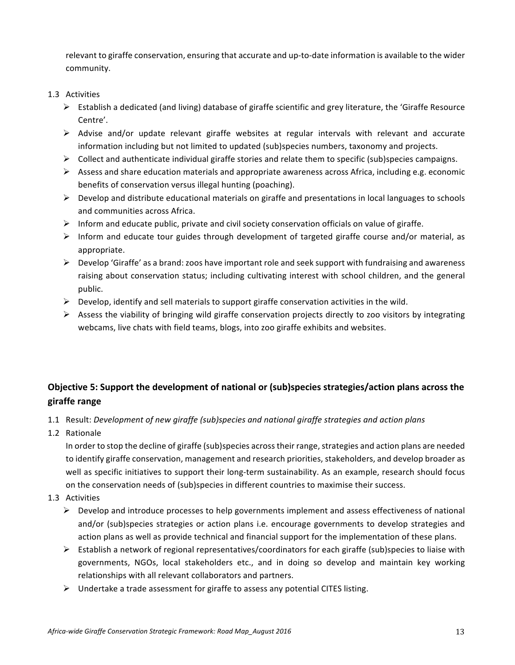relevant to giraffe conservation, ensuring that accurate and up-to-date information is available to the wider community.

## 1.3 Activities

- $\triangleright$  Establish a dedicated (and living) database of giraffe scientific and grey literature, the 'Giraffe Resource Centre'.
- $\triangleright$  Advise and/or update relevant giraffe websites at regular intervals with relevant and accurate information including but not limited to updated (sub)species numbers, taxonomy and projects.
- $\triangleright$  Collect and authenticate individual giraffe stories and relate them to specific (sub)species campaigns.
- $\triangleright$  Assess and share education materials and appropriate awareness across Africa, including e.g. economic benefits of conservation versus illegal hunting (poaching).
- $\triangleright$  Develop and distribute educational materials on giraffe and presentations in local languages to schools and communities across Africa.
- $\triangleright$  Inform and educate public, private and civil society conservation officials on value of giraffe.
- $\triangleright$  Inform and educate tour guides through development of targeted giraffe course and/or material, as appropriate.
- $\triangleright$  Develop 'Giraffe' as a brand: zoos have important role and seek support with fundraising and awareness raising about conservation status; including cultivating interest with school children, and the general public.
- $\triangleright$  Develop, identify and sell materials to support giraffe conservation activities in the wild.
- $\triangleright$  Assess the viability of bringing wild giraffe conservation projects directly to zoo visitors by integrating webcams, live chats with field teams, blogs, into zoo giraffe exhibits and websites.

# **Objective 5: Support the development of national or (sub)species strategies/action plans across the giraffe range**

- 1.1 Result: Development of new giraffe (sub)species and national giraffe strategies and action plans
- 1.2 Rationale

In order to stop the decline of giraffe (sub)species across their range, strategies and action plans are needed to identify giraffe conservation, management and research priorities, stakeholders, and develop broader as well as specific initiatives to support their long-term sustainability. As an example, research should focus on the conservation needs of (sub)species in different countries to maximise their success.

- 1.3 Activities
	- $\triangleright$  Develop and introduce processes to help governments implement and assess effectiveness of national and/or (sub)species strategies or action plans i.e. encourage governments to develop strategies and action plans as well as provide technical and financial support for the implementation of these plans.
	- $\triangleright$  Establish a network of regional representatives/coordinators for each giraffe (sub)species to liaise with governments, NGOs, local stakeholders etc., and in doing so develop and maintain key working relationships with all relevant collaborators and partners.
	- $\triangleright$  Undertake a trade assessment for giraffe to assess any potential CITES listing.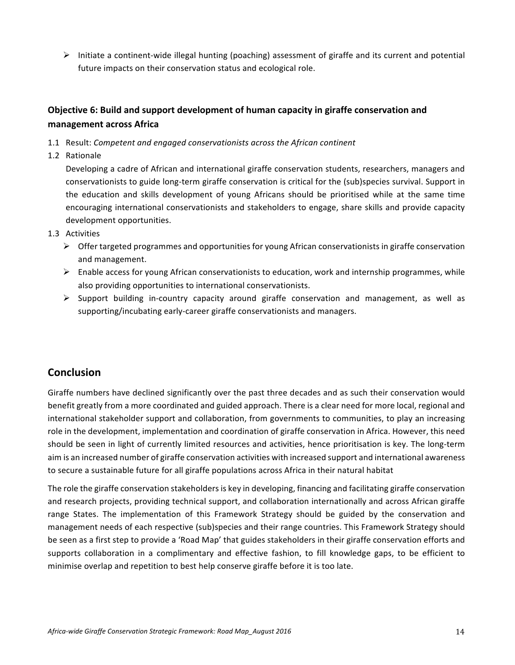$\triangleright$  Initiate a continent-wide illegal hunting (poaching) assessment of giraffe and its current and potential future impacts on their conservation status and ecological role.

# **Objective 6: Build and support development of human capacity in giraffe conservation and management across Africa**

- 1.1 Result: Competent and engaged conservationists across the African continent
- 1.2 Rationale

Developing a cadre of African and international giraffe conservation students, researchers, managers and conservationists to guide long-term giraffe conservation is critical for the (sub)species survival. Support in the education and skills development of young Africans should be prioritised while at the same time encouraging international conservationists and stakeholders to engage, share skills and provide capacity development opportunities.

- 1.3 Activities
	- $\triangleright$  Offer targeted programmes and opportunities for young African conservationists in giraffe conservation and management.
	- $\triangleright$  Enable access for young African conservationists to education, work and internship programmes, while also providing opportunities to international conservationists.
	- $\triangleright$  Support building in-country capacity around giraffe conservation and management, as well as supporting/incubating early-career giraffe conservationists and managers.

# **Conclusion**

Giraffe numbers have declined significantly over the past three decades and as such their conservation would benefit greatly from a more coordinated and guided approach. There is a clear need for more local, regional and international stakeholder support and collaboration, from governments to communities, to play an increasing role in the development, implementation and coordination of giraffe conservation in Africa. However, this need should be seen in light of currently limited resources and activities, hence prioritisation is key. The long-term aim is an increased number of giraffe conservation activities with increased support and international awareness to secure a sustainable future for all giraffe populations across Africa in their natural habitat

The role the giraffe conservation stakeholders is key in developing, financing and facilitating giraffe conservation and research projects, providing technical support, and collaboration internationally and across African giraffe range States. The implementation of this Framework Strategy should be guided by the conservation and management needs of each respective (sub)species and their range countries. This Framework Strategy should be seen as a first step to provide a 'Road Map' that guides stakeholders in their giraffe conservation efforts and supports collaboration in a complimentary and effective fashion, to fill knowledge gaps, to be efficient to minimise overlap and repetition to best help conserve giraffe before it is too late.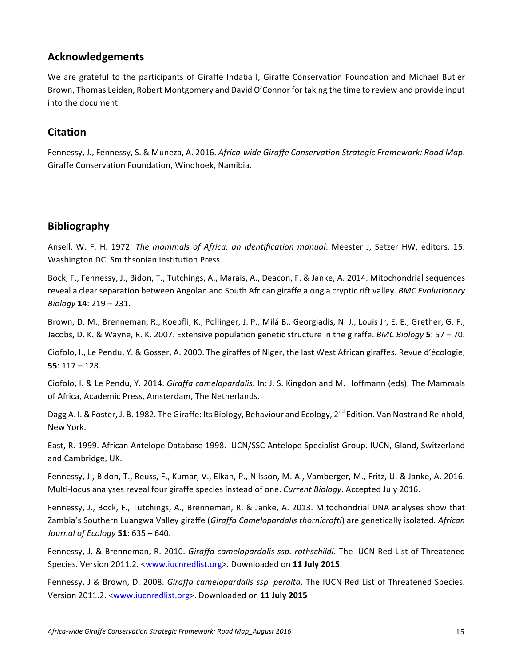# **Acknowledgements**

We are grateful to the participants of Giraffe Indaba I, Giraffe Conservation Foundation and Michael Butler Brown, Thomas Leiden, Robert Montgomery and David O'Connor for taking the time to review and provide input into the document.

# **Citation**

Fennessy, J., Fennessy, S. & Muneza, A. 2016. Africa-wide Giraffe Conservation Strategic Framework: Road Map. Giraffe Conservation Foundation, Windhoek, Namibia.

# **Bibliography**

Ansell, W. F. H. 1972. *The mammals of Africa: an identification manual*. Meester J, Setzer HW, editors. 15. Washington DC: Smithsonian Institution Press.

Bock, F., Fennessy, J., Bidon, T., Tutchings, A., Marais, A., Deacon, F. & Janke, A. 2014. Mitochondrial sequences reveal a clear separation between Angolan and South African giraffe along a cryptic rift valley. *BMC Evolutionary Biology* **14**: 219 – 231.

Brown, D. M., Brenneman, R., Koepfli, K., Pollinger, J. P., Milá B., Georgiadis, N. J., Louis Jr, E. E., Grether, G. F., Jacobs, D. K. & Wayne, R. K. 2007. Extensive population genetic structure in the giraffe. *BMC Biology* 5: 57 – 70.

Ciofolo, I., Le Pendu, Y. & Gosser, A. 2000. The giraffes of Niger, the last West African giraffes. Revue d'écologie, **55**: 117 – 128. 

Ciofolo, I. & Le Pendu, Y. 2014. *Giraffa camelopardalis*. In: J. S. Kingdon and M. Hoffmann (eds), The Mammals of Africa, Academic Press, Amsterdam, The Netherlands.

Dagg A. I. & Foster, J. B. 1982. The Giraffe: Its Biology, Behaviour and Ecology, 2<sup>nd</sup> Edition. Van Nostrand Reinhold, New York. 

East, R. 1999. African Antelope Database 1998. IUCN/SSC Antelope Specialist Group. IUCN, Gland, Switzerland and Cambridge, UK.

Fennessy, J., Bidon, T., Reuss, F., Kumar, V., Elkan, P., Nilsson, M. A., Vamberger, M., Fritz, U. & Janke, A. 2016. Multi-locus analyses reveal four giraffe species instead of one. *Current Biology*. Accepted July 2016.

Fennessy, J., Bock, F., Tutchings, A., Brenneman, R. & Janke, A. 2013. Mitochondrial DNA analyses show that Zambia's Southern Luangwa Valley giraffe (Giraffa Camelopardalis thornicrofti) are genetically isolated. African *Journal of Ecology* **51**: 635 – 640.

Fennessy, J. & Brenneman, R. 2010. *Giraffa camelopardalis ssp. rothschildi*. The IUCN Red List of Threatened Species. Version 2011.2. <www.iucnredlist.org>. Downloaded on **11 July 2015**.

Fennessy, J & Brown, D. 2008. *Giraffa camelopardalis ssp. peralta*. The IUCN Red List of Threatened Species. Version 2011.2. <www.iucnredlist.org>. Downloaded on **11 July 2015**